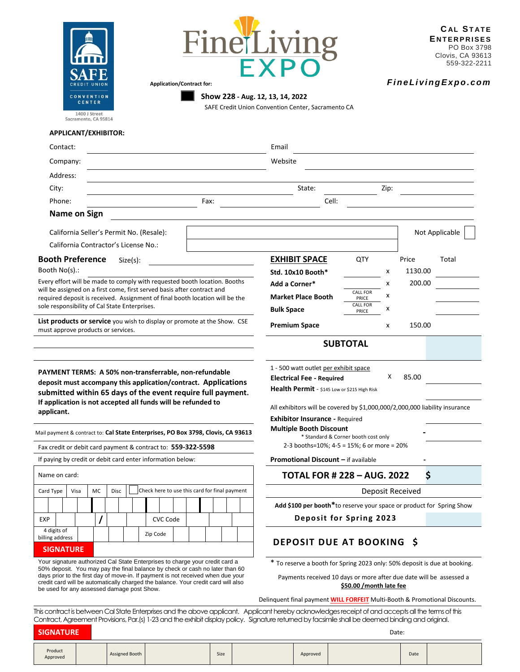



J

**Show 228 - Aug. 12, 13, 14, 2022**

SAFE Credit Union Convention Center, Sacramento CA

1400 J Street<br>Sacramento, CA 95814

## **APPLICANT/EXHIBITOR:**

L.

i.

| Contact:                                                                                                                                                                                                            |                                                                                                 | Email                                                                             |                          |        |                  |       |
|---------------------------------------------------------------------------------------------------------------------------------------------------------------------------------------------------------------------|-------------------------------------------------------------------------------------------------|-----------------------------------------------------------------------------------|--------------------------|--------|------------------|-------|
| Company:                                                                                                                                                                                                            |                                                                                                 | Website                                                                           |                          |        |                  |       |
| Address:                                                                                                                                                                                                            |                                                                                                 |                                                                                   |                          |        |                  |       |
| City:                                                                                                                                                                                                               |                                                                                                 | State:                                                                            |                          | Zip:   |                  |       |
| Phone:                                                                                                                                                                                                              | Fax:                                                                                            | Cell:                                                                             |                          |        |                  |       |
| <b>Name on Sign</b>                                                                                                                                                                                                 |                                                                                                 |                                                                                   |                          |        |                  |       |
| California Seller's Permit No. (Resale):                                                                                                                                                                            |                                                                                                 |                                                                                   |                          |        | Not Applicable   |       |
| California Contractor's License No.:                                                                                                                                                                                |                                                                                                 |                                                                                   |                          |        |                  |       |
| <b>Booth Preference</b><br>$Size(s)$ :                                                                                                                                                                              |                                                                                                 | <b>EXHIBIT SPACE</b>                                                              | QTY                      |        | Price            | Total |
| Booth No(s).:                                                                                                                                                                                                       |                                                                                                 | Std. 10x10 Booth*                                                                 |                          | x      | 1130.00          |       |
| Every effort will be made to comply with requested booth location. Booths                                                                                                                                           | Add a Corner*                                                                                   |                                                                                   | x                        | 200.00 |                  |       |
| will be assigned on a first come, first served basis after contract and<br>required deposit is received. Assignment of final booth location will be the                                                             |                                                                                                 | <b>Market Place Booth</b>                                                         | <b>CALL FOR</b><br>PRICE | x      |                  |       |
| sole responsibility of Cal State Enterprises.                                                                                                                                                                       |                                                                                                 | <b>Bulk Space</b>                                                                 | <b>CALL FOR</b><br>PRICE | x      |                  |       |
| List products or service you wish to display or promote at the Show. CSE<br>must approve products or services.                                                                                                      | <b>Premium Space</b>                                                                            |                                                                                   | x                        | 150.00 |                  |       |
|                                                                                                                                                                                                                     |                                                                                                 |                                                                                   | <b>SUBTOTAL</b>          |        |                  |       |
|                                                                                                                                                                                                                     |                                                                                                 |                                                                                   |                          |        |                  |       |
| PAYMENT TERMS: A 50% non-transferrable, non-refundable                                                                                                                                                              | 1 - 500 watt outlet per exhibit space<br><b>Electrical Fee - Required</b>                       |                                                                                   | х                        | 85.00  |                  |       |
| deposit must accompany this application/contract. Applications                                                                                                                                                      |                                                                                                 | Health Permit - \$145 Low or \$215 High Risk                                      |                          |        |                  |       |
| submitted within 65 days of the event require full payment.<br>If application is not accepted all funds will be refunded to                                                                                         |                                                                                                 |                                                                                   |                          |        |                  |       |
| applicant.                                                                                                                                                                                                          |                                                                                                 | All exhibitors will be covered by \$1,000,000/2,000,000 liability insurance       |                          |        |                  |       |
|                                                                                                                                                                                                                     |                                                                                                 | <b>Exhibitor Insurance - Required</b><br><b>Multiple Booth Discount</b>           |                          |        |                  |       |
| Mail payment & contract to: Cal State Enterprises, PO Box 3798, Clovis, CA 93613                                                                                                                                    | * Standard & Corner booth cost only                                                             |                                                                                   |                          |        |                  |       |
| Fax credit or debit card payment & contract to: 559-322-5598                                                                                                                                                        | 2-3 booths=10%; 4-5 = 15%; 6 or more = 20%                                                      |                                                                                   |                          |        |                  |       |
| If paying by credit or debit card enter information below:                                                                                                                                                          |                                                                                                 | <b>Promotional Discount - if available</b>                                        |                          |        |                  |       |
| Name on card:                                                                                                                                                                                                       |                                                                                                 | <b>TOTAL FOR # 228 - AUG. 2022</b>                                                |                          |        | \$               |       |
| MC<br>Card Type<br>Disc<br>Visa                                                                                                                                                                                     | Check here to use this card for final payment                                                   |                                                                                   |                          |        | Deposit Received |       |
|                                                                                                                                                                                                                     |                                                                                                 | Add \$100 per booth*to reserve your space or product for Spring Show              |                          |        |                  |       |
| $\prime$<br><b>EXP</b><br>CVC Code                                                                                                                                                                                  |                                                                                                 | Deposit for Spring 2023                                                           |                          |        |                  |       |
| 4 digits of<br>Zip Code<br>billing address                                                                                                                                                                          |                                                                                                 | <b>DEPOSIT DUE AT BOOKING</b>                                                     |                          |        | Ŝ.               |       |
| <b>SIGNATURE</b>                                                                                                                                                                                                    |                                                                                                 |                                                                                   |                          |        |                  |       |
| Your signature authorized Cal State Enterprises to charge your credit card a<br>50% deposit. You may pay the final balance by check or cash no later than 60                                                        | * To reserve a booth for Spring 2023 only: 50% deposit is due at booking.                       |                                                                                   |                          |        |                  |       |
| days prior to the first day of move-in. If payment is not received when due your<br>credit card will be automatically charged the balance. Your credit card will also<br>be used for any assessed damage post Show. | Payments received 10 days or more after due date will be assessed a<br>\$50.00 / month late fee |                                                                                   |                          |        |                  |       |
|                                                                                                                                                                                                                     |                                                                                                 | Delinguent final payment <b>WILL FORFEIT</b> Multi-Booth & Promotional Discounts. |                          |        |                  |       |

This contract is between Cal State Enterprises and the above applicant. Applicant hereby acknowledges receipt of and accepts all the terms of this Contract, Agreement Provisions, Par.(s) 1-23 and the exhibit display policy. Signature returned by facsimile shall be deemed binding and original.

| <b>SIGNATURE</b>    |  |                |  |      | Date: |          |  |      |  |
|---------------------|--|----------------|--|------|-------|----------|--|------|--|
| Product<br>Approved |  | Assigned Booth |  | Size |       | Approved |  | Date |  |